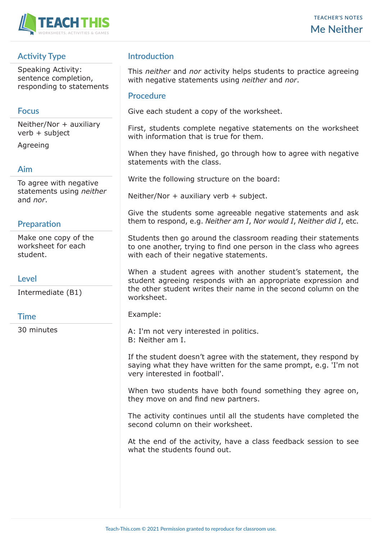

# **Activity Type**

Speaking Activity: sentence completion, responding to statements

### **Focus**

Neither/Nor + auxiliary verb + subject

Agreeing

### **Aim**

To agree with negative statements using *neither* and *nor*.

# **Preparation**

Make one copy of the worksheet for each student.

### **Level**

Intermediate (B1)

### **Time**

30 minutes

# **Introduction**

This *neither* and *nor* activity helps students to practice agreeing with negative statements using *neither* and *nor*.

#### **Procedure**

Give each student a copy of the worksheet.

First, students complete negative statements on the worksheet with information that is true for them.

When they have finished, go through how to agree with negative statements with the class.

Write the following structure on the board:

Neither/Nor  $+$  auxiliary verb  $+$  subject.

Give the students some agreeable negative statements and ask them to respond, e.g. *Neither am I*, *Nor would I*, *Neither did I*, etc.

Students then go around the classroom reading their statements to one another, trying to find one person in the class who agrees with each of their negative statements.

When a student agrees with another student's statement, the student agreeing responds with an appropriate expression and the other student writes their name in the second column on the worksheet.

Example:

A: I'm not very interested in politics. B: Neither am I.

If the student doesn't agree with the statement, they respond by saying what they have written for the same prompt, e.g. 'I'm not very interested in football'.

When two students have both found something they agree on, they move on and find new partners.

The activity continues until all the students have completed the second column on their worksheet.

At the end of the activity, have a class feedback session to see what the students found out.